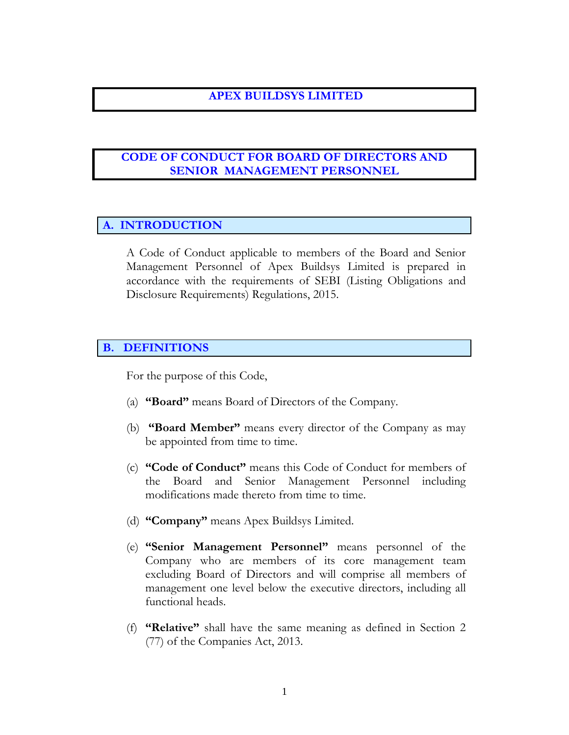## **APEX BUILDSYS LIMITED**

# **CODE OF CONDUCT FOR BOARD OF DIRECTORS AND SENIOR MANAGEMENT PERSONNEL**

# **A. INTRODUCTION**

A Code of Conduct applicable to members of the Board and Senior Management Personnel of Apex Buildsys Limited is prepared in accordance with the requirements of SEBI (Listing Obligations and Disclosure Requirements) Regulations, 2015.

#### **B. DEFINITIONS**

For the purpose of this Code,

- (a) **"Board"** means Board of Directors of the Company.
- (b) **"Board Member"** means every director of the Company as may be appointed from time to time.
- (c) **"Code of Conduct"** means this Code of Conduct for members of the Board and Senior Management Personnel including modifications made thereto from time to time.
- (d) **"Company"** means Apex Buildsys Limited.
- (e) **"Senior Management Personnel"** means personnel of the Company who are members of its core management team excluding Board of Directors and will comprise all members of management one level below the executive directors, including all functional heads.
- (f) **"Relative"** shall have the same meaning as defined in Section 2 (77) of the Companies Act, 2013.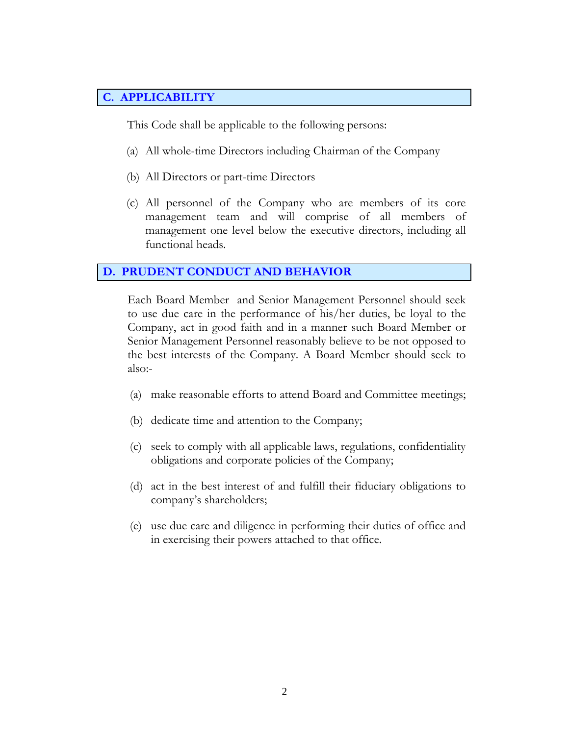# **C. APPLICABILITY**

This Code shall be applicable to the following persons:

- (a) All whole-time Directors including Chairman of the Company
- (b) All Directors or part-time Directors
- (c) All personnel of the Company who are members of its core management team and will comprise of all members of management one level below the executive directors, including all functional heads.

#### **D. PRUDENT CONDUCT AND BEHAVIOR**

Each Board Member and Senior Management Personnel should seek to use due care in the performance of his/her duties, be loyal to the Company, act in good faith and in a manner such Board Member or Senior Management Personnel reasonably believe to be not opposed to the best interests of the Company. A Board Member should seek to also:-

- (a) make reasonable efforts to attend Board and Committee meetings;
- (b) dedicate time and attention to the Company;
- (c) seek to comply with all applicable laws, regulations, confidentiality obligations and corporate policies of the Company;
- (d) act in the best interest of and fulfill their fiduciary obligations to company's shareholders;
- (e) use due care and diligence in performing their duties of office and in exercising their powers attached to that office.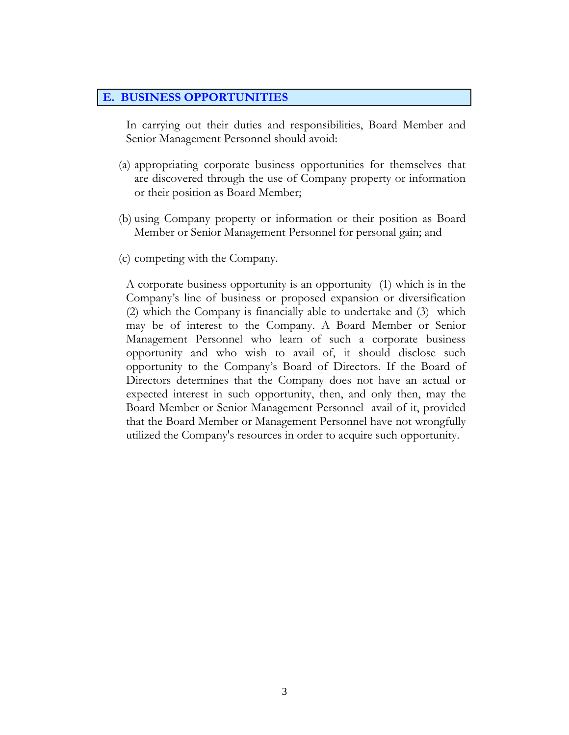#### **E. BUSINESS OPPORTUNITIES**

In carrying out their duties and responsibilities, Board Member and Senior Management Personnel should avoid:

- (a) appropriating corporate business opportunities for themselves that are discovered through the use of Company property or information or their position as Board Member;
- (b) using Company property or information or their position as Board Member or Senior Management Personnel for personal gain; and
- (c) competing with the Company.

A corporate business opportunity is an opportunity (1) which is in the Company's line of business or proposed expansion or diversification (2) which the Company is financially able to undertake and (3) which may be of interest to the Company. A Board Member or Senior Management Personnel who learn of such a corporate business opportunity and who wish to avail of, it should disclose such opportunity to the Company's Board of Directors. If the Board of Directors determines that the Company does not have an actual or expected interest in such opportunity, then, and only then, may the Board Member or Senior Management Personnel avail of it, provided that the Board Member or Management Personnel have not wrongfully utilized the Company's resources in order to acquire such opportunity.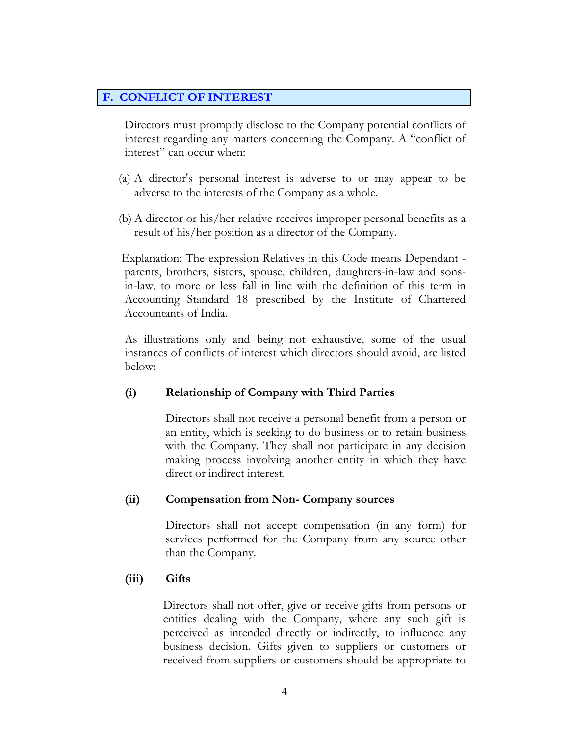## **F. CONFLICT OF INTEREST**

Directors must promptly disclose to the Company potential conflicts of interest regarding any matters concerning the Company. A "conflict of interest" can occur when:

- (a) A director's personal interest is adverse to or may appear to be adverse to the interests of the Company as a whole.
- (b) A director or his/her relative receives improper personal benefits as a result of his/her position as a director of the Company.

 Explanation: The expression Relatives in this Code means Dependant parents, brothers, sisters, spouse, children, daughters-in-law and sonsin-law, to more or less fall in line with the definition of this term in Accounting Standard 18 prescribed by the Institute of Chartered Accountants of India.

As illustrations only and being not exhaustive, some of the usual instances of conflicts of interest which directors should avoid, are listed below:

## **(i) Relationship of Company with Third Parties**

Directors shall not receive a personal benefit from a person or an entity, which is seeking to do business or to retain business with the Company. They shall not participate in any decision making process involving another entity in which they have direct or indirect interest.

## **(ii) Compensation from Non- Company sources**

Directors shall not accept compensation (in any form) for services performed for the Company from any source other than the Company.

## **(iii) Gifts**

Directors shall not offer, give or receive gifts from persons or entities dealing with the Company, where any such gift is perceived as intended directly or indirectly, to influence any business decision. Gifts given to suppliers or customers or received from suppliers or customers should be appropriate to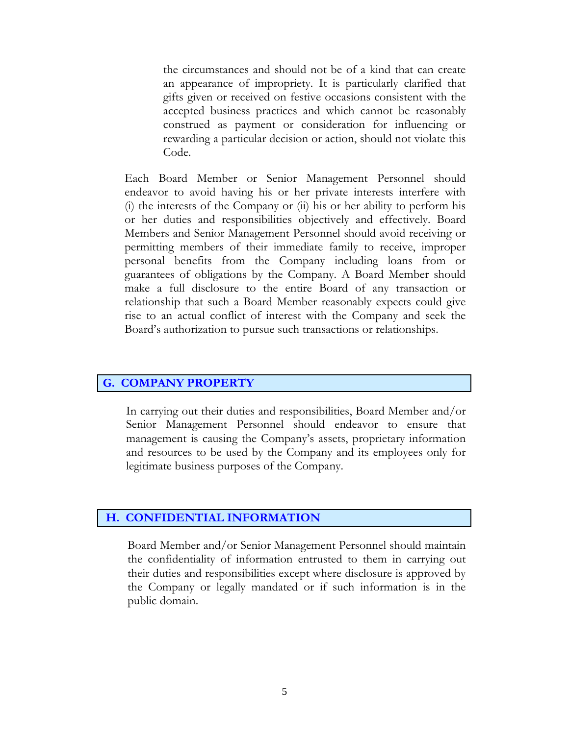the circumstances and should not be of a kind that can create an appearance of impropriety. It is particularly clarified that gifts given or received on festive occasions consistent with the accepted business practices and which cannot be reasonably construed as payment or consideration for influencing or rewarding a particular decision or action, should not violate this Code.

Each Board Member or Senior Management Personnel should endeavor to avoid having his or her private interests interfere with (i) the interests of the Company or (ii) his or her ability to perform his or her duties and responsibilities objectively and effectively. Board Members and Senior Management Personnel should avoid receiving or permitting members of their immediate family to receive, improper personal benefits from the Company including loans from or guarantees of obligations by the Company. A Board Member should make a full disclosure to the entire Board of any transaction or relationship that such a Board Member reasonably expects could give rise to an actual conflict of interest with the Company and seek the Board's authorization to pursue such transactions or relationships.

#### **G. COMPANY PROPERTY**

In carrying out their duties and responsibilities, Board Member and/or Senior Management Personnel should endeavor to ensure that management is causing the Company's assets, proprietary information and resources to be used by the Company and its employees only for legitimate business purposes of the Company.

#### **H. CONFIDENTIAL INFORMATION**

Board Member and/or Senior Management Personnel should maintain the confidentiality of information entrusted to them in carrying out their duties and responsibilities except where disclosure is approved by the Company or legally mandated or if such information is in the public domain.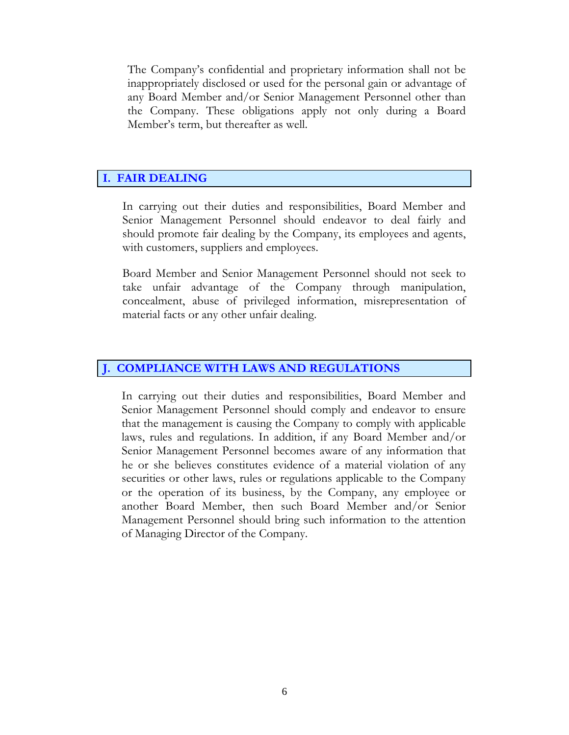The Company's confidential and proprietary information shall not be inappropriately disclosed or used for the personal gain or advantage of any Board Member and/or Senior Management Personnel other than the Company. These obligations apply not only during a Board Member's term, but thereafter as well.

# **I. FAIR DEALING**

In carrying out their duties and responsibilities, Board Member and Senior Management Personnel should endeavor to deal fairly and should promote fair dealing by the Company, its employees and agents, with customers, suppliers and employees.

Board Member and Senior Management Personnel should not seek to take unfair advantage of the Company through manipulation, concealment, abuse of privileged information, misrepresentation of material facts or any other unfair dealing.

#### **COMPLIANCE WITH LAWS AND REGULATIONS**

In carrying out their duties and responsibilities, Board Member and Senior Management Personnel should comply and endeavor to ensure that the management is causing the Company to comply with applicable laws, rules and regulations. In addition, if any Board Member and/or Senior Management Personnel becomes aware of any information that he or she believes constitutes evidence of a material violation of any securities or other laws, rules or regulations applicable to the Company or the operation of its business, by the Company, any employee or another Board Member, then such Board Member and/or Senior Management Personnel should bring such information to the attention of Managing Director of the Company.